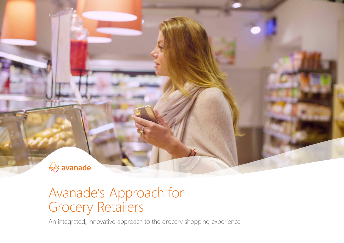

### Avanade's Approach for Grocery Retailers

An integrated, innovative approach to the grocery shopping experience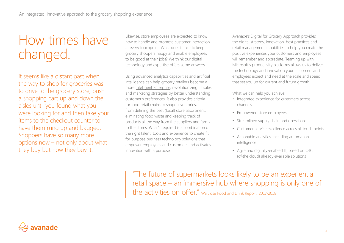## How times have changed.

It seems like a distant past when the way to shop for groceries was to drive to the grocery store, push a shopping cart up and down the aisles until you found what you were looking for and then take your items to the checkout counter to have them rung up and bagged. Shoppers have so many more options now – not only about what they buy but how they buy it.

Likewise, store employees are expected to know how to handle and promote customer interaction at every touchpoint. What does it take to keep grocery shoppers happy and enable employees to be good at their jobs? We think our digital technology and expertise offers some answers.

Using advanced analytics capabilities and artificial intelligence can help grocery retailers become a more [Intelligent Enterprise,](https://www.avanade.com/en/thinking/intelligent-enterprise) revolutionizing its sales and marketing strategies by better understanding customer's preferences. It also provides criteria for food retail chains to shape inventories, from defining the best (local) store assortment, eliminating food waste and keeping track of products all the way from the suppliers and farms to the stores. What's required is a combination of the right talent, tools and experience to create fit for purpose business technology solutions that empower employees and customers and activates innovation with a purpose.

Avanade's Digital for Grocery Approach provides the digital strategy, innovation, best practices and retail management capabilities to help you create the positive experiences your customers and employees will remember and appreciate. Teaming up with Microsoft's productivity platforms allows us to deliver the technology and innovation your customers and employees expect and need at the scale and speed that set you up for current and future growth.

What we can help you achieve:

- Integrated experience for customers across channels
- Empowered store employees
- Streamlined supply chain and operations
- Customer service excellence across all touch points
- Actionable analytics, including automation intelligence
- Agile and digitally-enabled IT, based on OTC (of-the cloud) already-available solutions

"The future of supermarkets looks likely to be an experiential retail space – an immersive hub where shopping is only one of the activities on offer." Waitrose Food and Drink Report, 2017-2018